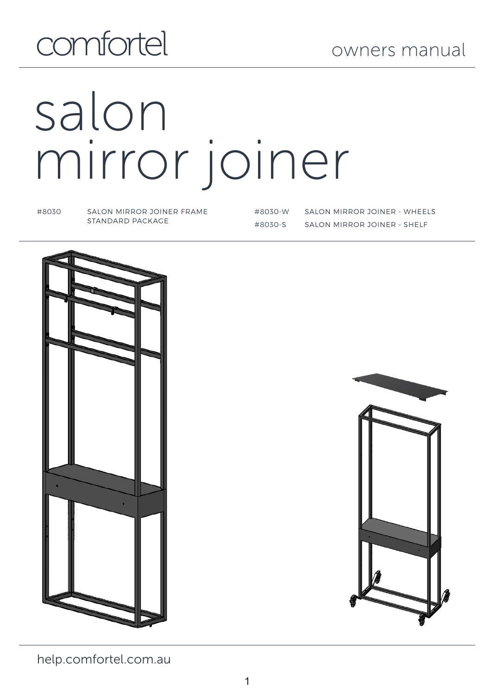# comfortel

# salon mirror joiner

#8030 SALON MIRROR JOINER FRAME STANDARD PACKAGE

#8030-W SALON MIRROR JOINER - WHEELS #8030-S SALON MIRROR JOINER - SHELF





help.comfortel.com.au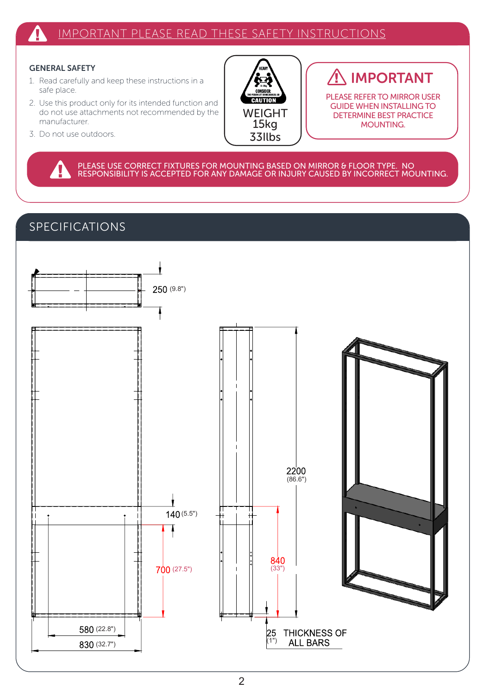#### IMPORTANT PLEASE READ THESE SAFETY INSTRUCTIONS 4

#### GENERAL SAFETY

- 1. Read carefully and keep these instructions in a safe place.
- 2. Use this product only for its intended function and do not use attachments not recommended by the manufacturer.
- 3. Do not use outdoors.



## IMPORTANT

PLEASE REFER TO MIRROR USER GUIDE WHEN INSTALLING TO DETERMINE BEST PRACTICE MOUNTING.

PLEASE USE CORRECT FIXTURES FOR MOUNTING BASED ON MIRROR & FLOOR TYPE. NO RESPONSIBILITY IS ACCEPTED FOR ANY DAMAGE OR INJURY CAUSED BY INCORRECT MOUNTING.

#### SPECIFICATIONS

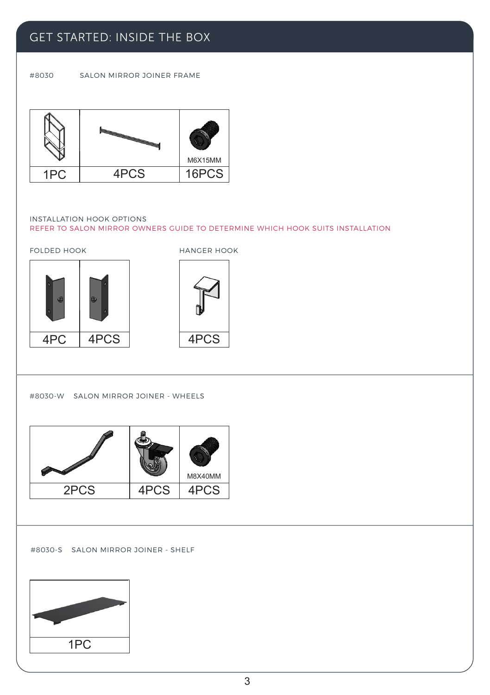

#8030-S SALON MIRROR JOINER - SHELF

|      |      | M8X40MM |
|------|------|---------|
| 2PCS | 4PCS | PCS     |
|      |      |         |

#8030-W SALON MIRROR JOINER - WHEELS

4PC 4PCS FOLDED HOOK HANGER HOOK

4PCS

INSTALLATION HOOK OPTIONS REFER TO SALON MIRROR OWNERS GUIDE TO DETERMINE WHICH HOOK SUITS INSTALLATION



#8030 SALON MIRROR JOINER FRAME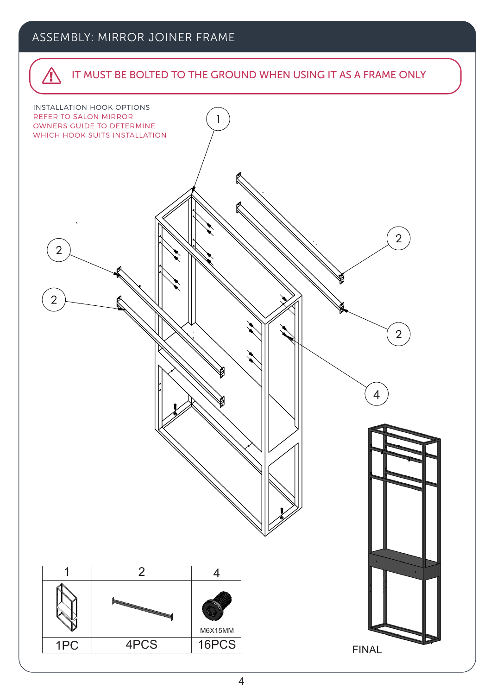#### ASSEMBLY: MIRROR JOINER FRAME

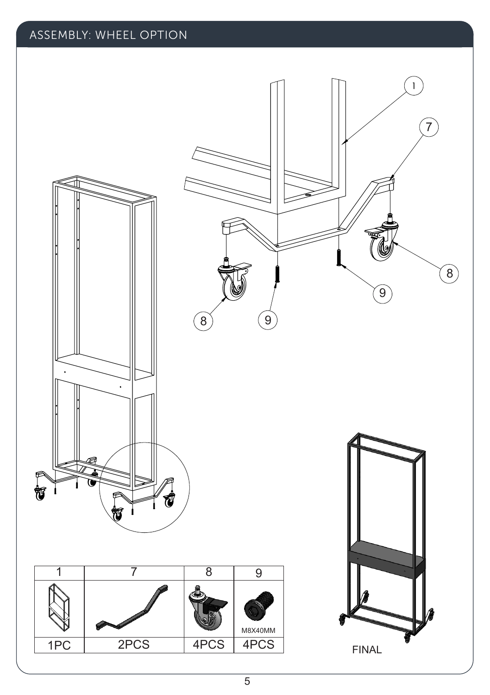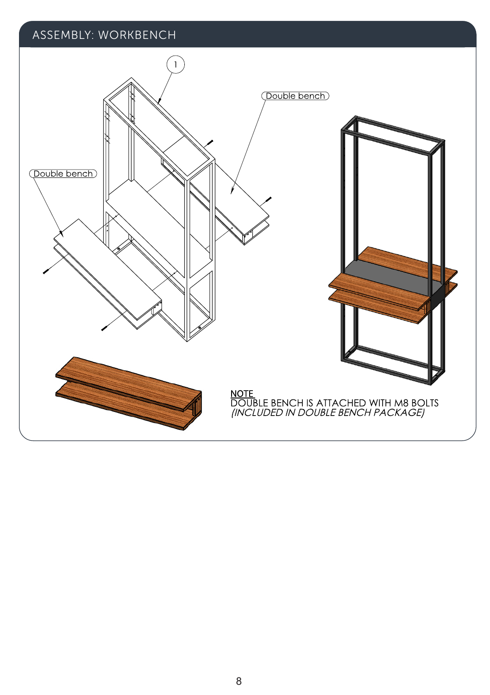#### ASSEMBLY: WORKBENCH

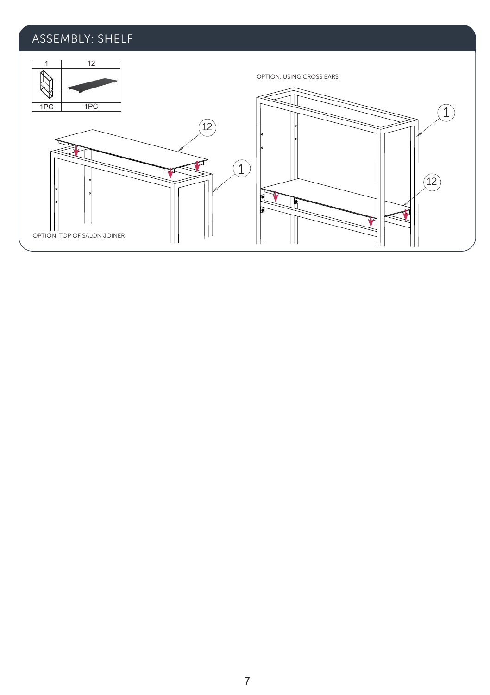### ASSEMBLY: SHELF